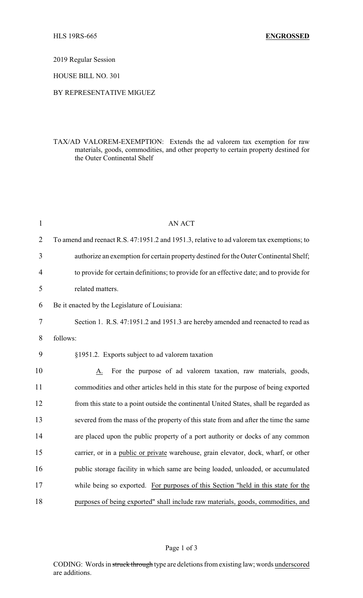2019 Regular Session

HOUSE BILL NO. 301

## BY REPRESENTATIVE MIGUEZ

TAX/AD VALOREM-EXEMPTION: Extends the ad valorem tax exemption for raw materials, goods, commodities, and other property to certain property destined for the Outer Continental Shelf

| $\mathbf{1}$   | <b>AN ACT</b>                                                                             |
|----------------|-------------------------------------------------------------------------------------------|
| $\overline{2}$ | To amend and reenact R.S. 47:1951.2 and 1951.3, relative to ad valorem tax exemptions; to |
| 3              | authorize an exemption for certain property destined for the Outer Continental Shelf;     |
| 4              | to provide for certain definitions; to provide for an effective date; and to provide for  |
| 5              | related matters.                                                                          |
| 6              | Be it enacted by the Legislature of Louisiana:                                            |
| 7              | Section 1. R.S. 47:1951.2 and 1951.3 are hereby amended and reenacted to read as          |
| 8              | follows:                                                                                  |
| 9              | §1951.2. Exports subject to ad valorem taxation                                           |
| 10             | For the purpose of ad valorem taxation, raw materials, goods,<br>A.                       |
| 11             | commodities and other articles held in this state for the purpose of being exported       |
| 12             | from this state to a point outside the continental United States, shall be regarded as    |
| 13             | severed from the mass of the property of this state from and after the time the same      |
| 14             | are placed upon the public property of a port authority or docks of any common            |
| 15             | carrier, or in a public or private warehouse, grain elevator, dock, wharf, or other       |
| 16             | public storage facility in which same are being loaded, unloaded, or accumulated          |
| 17             | while being so exported. For purposes of this Section "held in this state for the         |
| 18             | purposes of being exported" shall include raw materials, goods, commodities, and          |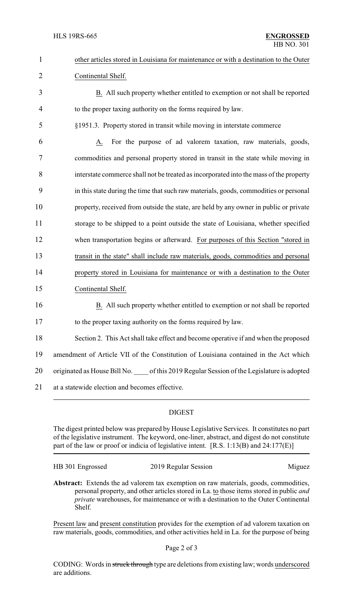| $\mathbf{1}$   | other articles stored in Louisiana for maintenance or with a destination to the Outer   |
|----------------|-----------------------------------------------------------------------------------------|
| $\overline{2}$ | Continental Shelf.                                                                      |
| 3              | B. All such property whether entitled to exemption or not shall be reported             |
| 4              | to the proper taxing authority on the forms required by law.                            |
| 5              | §1951.3. Property stored in transit while moving in interstate commerce                 |
| 6              | For the purpose of ad valorem taxation, raw materials, goods,<br>A.                     |
| 7              | commodities and personal property stored in transit in the state while moving in        |
| 8              | interstate commerce shall not be treated as incorporated into the mass of the property  |
| 9              | in this state during the time that such raw materials, goods, commodities or personal   |
| 10             | property, received from outside the state, are held by any owner in public or private   |
| 11             | storage to be shipped to a point outside the state of Louisiana, whether specified      |
| 12             | when transportation begins or afterward. For purposes of this Section "stored in        |
| 13             | transit in the state" shall include raw materials, goods, commodities and personal      |
| 14             | property stored in Louisiana for maintenance or with a destination to the Outer         |
| 15             | Continental Shelf.                                                                      |
| 16             | B. All such property whether entitled to exemption or not shall be reported             |
| 17             | to the proper taxing authority on the forms required by law.                            |
| 18             | Section 2. This Act shall take effect and become operative if and when the proposed     |
| 19             | amendment of Article VII of the Constitution of Louisiana contained in the Act which    |
| 20             | originated as House Bill No. of this 2019 Regular Session of the Legislature is adopted |
| 21             | at a statewide election and becomes effective.                                          |
|                |                                                                                         |

## DIGEST

The digest printed below was prepared by House Legislative Services. It constitutes no part of the legislative instrument. The keyword, one-liner, abstract, and digest do not constitute part of the law or proof or indicia of legislative intent. [R.S. 1:13(B) and 24:177(E)]

HB 301 Engrossed 2019 Regular Session Miguez

**Abstract:** Extends the ad valorem tax exemption on raw materials, goods, commodities, personal property, and other articles stored in La. to those items stored in public *and private* warehouses, for maintenance or with a destination to the Outer Continental Shelf.

Present law and present constitution provides for the exemption of ad valorem taxation on raw materials, goods, commodities, and other activities held in La. for the purpose of being